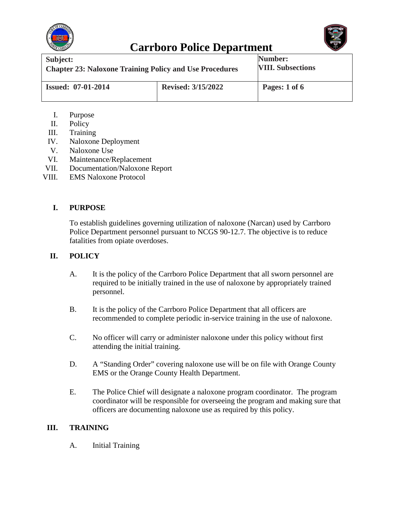



| Subject:                                                       |                           | Number:                  |
|----------------------------------------------------------------|---------------------------|--------------------------|
| <b>Chapter 23: Naloxone Training Policy and Use Procedures</b> |                           | <b>VIII. Subsections</b> |
| <b>Issued: 07-01-2014</b>                                      | <b>Revised: 3/15/2022</b> | Pages: 1 of 6            |

- I. Purpose
- II. Policy
- III. Training
- IV. Naloxone Deployment
- V. Naloxone Use
- VI. Maintenance/Replacement
- VII. Documentation/Naloxone Report
- VIII. EMS Naloxone Protocol

#### **I. PURPOSE**

To establish guidelines governing utilization of naloxone (Narcan) used by Carrboro Police Department personnel pursuant to NCGS 90-12.7. The objective is to reduce fatalities from opiate overdoses.

#### **II. POLICY**

- A. It is the policy of the Carrboro Police Department that all sworn personnel are required to be initially trained in the use of naloxone by appropriately trained personnel.
- B. It is the policy of the Carrboro Police Department that all officers are recommended to complete periodic in-service training in the use of naloxone.
- C. No officer will carry or administer naloxone under this policy without first attending the initial training.
- D. A "Standing Order" covering naloxone use will be on file with Orange County EMS or the Orange County Health Department.
- E. The Police Chief will designate a naloxone program coordinator. The program coordinator will be responsible for overseeing the program and making sure that officers are documenting naloxone use as required by this policy.

#### **III. TRAINING**

A. Initial Training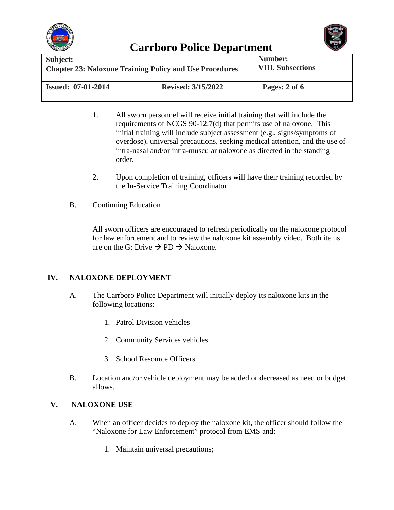



| Subject:<br><b>Chapter 23: Naloxone Training Policy and Use Procedures</b> |                           | Number:<br><b>VIII. Subsections</b> |
|----------------------------------------------------------------------------|---------------------------|-------------------------------------|
| <b>Issued: 07-01-2014</b>                                                  | <b>Revised: 3/15/2022</b> | Pages: 2 of 6                       |

- 1. All sworn personnel will receive initial training that will include the requirements of NCGS 90-12.7(d) that permits use of naloxone. This initial training will include subject assessment (e.g., signs/symptoms of overdose), universal precautions, seeking medical attention, and the use of intra-nasal and/or intra-muscular naloxone as directed in the standing order.
- 2. Upon completion of training, officers will have their training recorded by the In-Service Training Coordinator.
- B. Continuing Education

All sworn officers are encouraged to refresh periodically on the naloxone protocol for law enforcement and to review the naloxone kit assembly video. Both items are on the G: Drive  $\rightarrow$  PD  $\rightarrow$  Naloxone.

### **IV. NALOXONE DEPLOYMENT**

- A. The Carrboro Police Department will initially deploy its naloxone kits in the following locations:
	- 1. Patrol Division vehicles
	- 2. Community Services vehicles
	- 3. School Resource Officers
- B. Location and/or vehicle deployment may be added or decreased as need or budget allows.

### **V. NALOXONE USE**

- A. When an officer decides to deploy the naloxone kit, the officer should follow the "Naloxone for Law Enforcement" protocol from EMS and:
	- 1. Maintain universal precautions;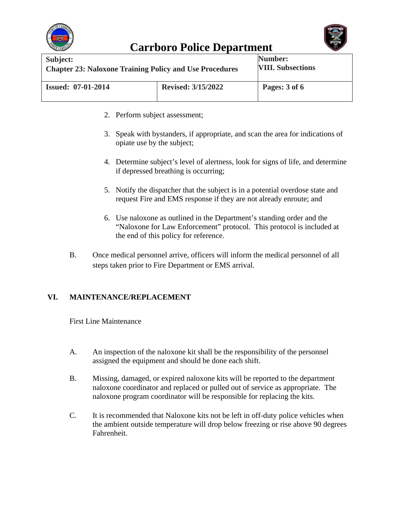



| Subject:                                                       |                           | Number:                  |
|----------------------------------------------------------------|---------------------------|--------------------------|
| <b>Chapter 23: Naloxone Training Policy and Use Procedures</b> |                           | <b>VIII. Subsections</b> |
| <b>Issued: 07-01-2014</b>                                      | <b>Revised: 3/15/2022</b> | Pages: 3 of 6            |

- 2. Perform subject assessment;
- 3. Speak with bystanders, if appropriate, and scan the area for indications of opiate use by the subject;
- 4. Determine subject's level of alertness, look for signs of life, and determine if depressed breathing is occurring;
- 5. Notify the dispatcher that the subject is in a potential overdose state and request Fire and EMS response if they are not already enroute; and
- 6. Use naloxone as outlined in the Department's standing order and the "Naloxone for Law Enforcement" protocol. This protocol is included at the end of this policy for reference.
- B. Once medical personnel arrive, officers will inform the medical personnel of all steps taken prior to Fire Department or EMS arrival.

#### **VI. MAINTENANCE/REPLACEMENT**

First Line Maintenance

- A. An inspection of the naloxone kit shall be the responsibility of the personnel assigned the equipment and should be done each shift.
- B. Missing, damaged, or expired naloxone kits will be reported to the department naloxone coordinator and replaced or pulled out of service as appropriate. The naloxone program coordinator will be responsible for replacing the kits.
- C. It is recommended that Naloxone kits not be left in off-duty police vehicles when the ambient outside temperature will drop below freezing or rise above 90 degrees Fahrenheit.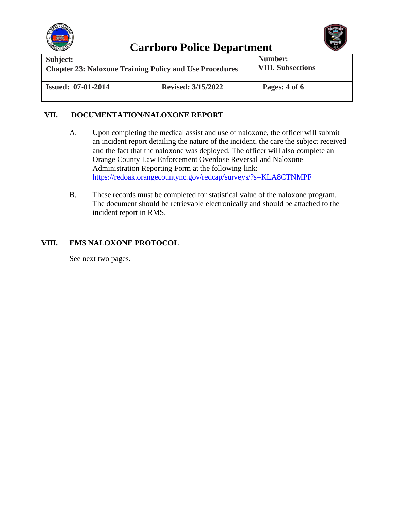



| Subject:                                                       |                           | Number:                  |
|----------------------------------------------------------------|---------------------------|--------------------------|
| <b>Chapter 23: Naloxone Training Policy and Use Procedures</b> |                           | <b>VIII. Subsections</b> |
| <b>Issued: 07-01-2014</b>                                      | <b>Revised: 3/15/2022</b> | Pages: 4 of 6            |

#### **VII. DOCUMENTATION/NALOXONE REPORT**

- A. Upon completing the medical assist and use of naloxone, the officer will submit an incident report detailing the nature of the incident, the care the subject received and the fact that the naloxone was deployed. The officer will also complete an Orange County Law Enforcement Overdose Reversal and Naloxone Administration Reporting Form at the following link: <https://redoak.orangecountync.gov/redcap/surveys/?s=KLA8CTNMPF>
- B. These records must be completed for statistical value of the naloxone program. The document should be retrievable electronically and should be attached to the incident report in RMS.

### **VIII. EMS NALOXONE PROTOCOL**

See next two pages.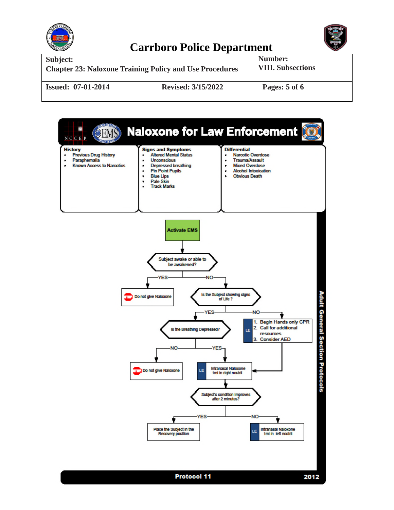



| Subject:                                                       |                           | Number:                  |
|----------------------------------------------------------------|---------------------------|--------------------------|
| <b>Chapter 23: Naloxone Training Policy and Use Procedures</b> |                           | <b>VIII. Subsections</b> |
| <b>Issued: 07-01-2014</b>                                      | <b>Revised: 3/15/2022</b> | Pages: 5 of 6            |